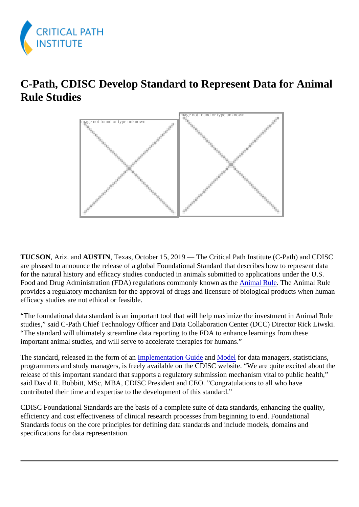## C-Path, CDISC Develop Standard to Represent Data for Animal Rule Studies

Image not found or type unknown

Image not found or type unknown

TUCSON, Ariz. and AUSTIN, Texas, October 15, 2019 — The Critical Path Institute (C-Path) and CDISC are pleased to announce the release of a global Foundational Standard that describes how to represent data for the natural history and efficacy studies conducted in animals submitted to applications under the U.S. Food and Drug Administration (FDA) regulations commonly known as the alle The Animal Rule. provides a regulatory mechanism for the approval of drugs and licensure of biological products when hum efficacy studies are not ethical or feasible.

"The foundational data standard is an important tool that will help maximize the investment in Animal Rule studies," said C-Path Chief Technology Officer and Data Collaboration Center (DCC) Director Rick Liwski. "The standard will ultimately streamline data reporting to the FDA to enhance learnings from these important animal studies, and will serve to accelerate therapies for humans."

Thestandard, released in the form of **raplementation Guidend [Model](https://www.cdisc.org/standards/foundational/sdtm/sdtm-v18) for data managers**, statisticians, programmers and study managers, is freely available on the CDISC website. "We are quite excited about release of this important standard that supports a regulatory submission mechanism vital to public health," said David R. Bobbitt, MSc, MBA, CDISC President and CEO. "Congratulations to all who have contributed their time and expertise to the development of this standard."

CDISC Foundational Standards are the basis of a complete suite of data standards, enhancing the quality, efficiency and cost effectiveness of clinical research processes from beginning to end. Foundational Standards focus on the core principles for defining data standards and include models, domains and specifications for data representation.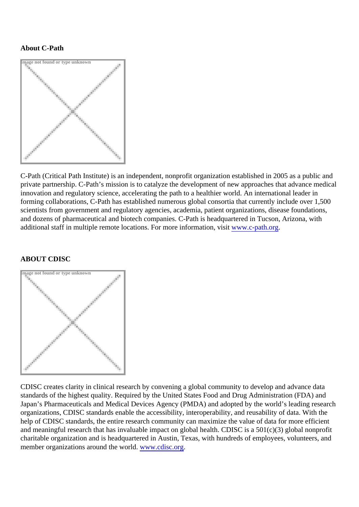## About C-Path

Image not found or type unknown

C-Path (Critical Path Institute) is an independent, nonprofit organization established in 2005 as a public ar private partnership. C-Path's mission is to catalyze the development of new approaches that advance med innovation and regulatory science, accelerating the path to a healthier world. An international leader in forming collaborations, C-Path has established numerous global consortia that currently include over 1,50 scientists from government and regulatory agencies, academia, patient organizations, disease foundations, and dozens of pharmaceutical and biotech companies. C-Path is headquartered in Tucson, Arizona, with additional staff in multiple remote locations. For more information, wisity.c-path.org

## ABOUT CDISC

Image not found or type unknown

CDISC creates clarity in clinical research by convening a global community to develop and advance data standards of the highest quality. Required by the United States Food and Drug Administration (FDA) and Japan's Pharmaceuticals and Medical Devices Agency (PMDA) and adopted by the world's leading resear organizations, CDISC standards enable the accessibility, interoperability, and reusability of data. With the help of CDISC standards, the entire research community can maximize the value of data for more efficient and meaningful research that has invaluable impact on global health. CDISC is a 501(c)(3) global nonprof charitable organization and is headquartered in Austin, Texas, with hundreds of employees, volunteers, and member organizations around the worldww.cdisc.org